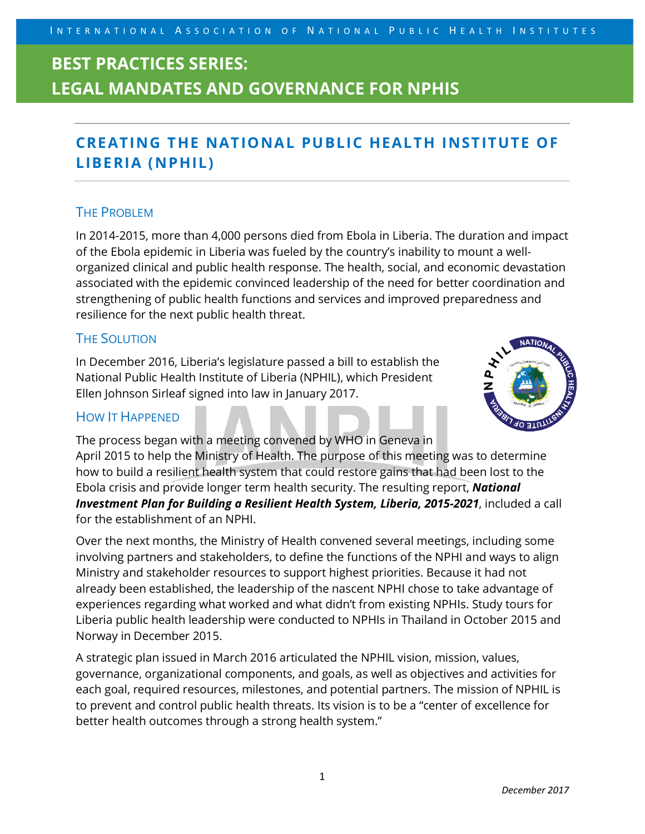# **BEST PRACTICES SERIES: LEGAL MANDATES AND GOVERNANCE FOR NPHIS**

### **CREATING THE NATIONAL PUBLIC HEALTH INSTITUTE OF LIBERIA (NPHIL)**

### THE PROBLEM

In 2014-2015, more than 4,000 persons died from Ebola in Liberia. The duration and impact of the Ebola epidemic in Liberia was fueled by the country's inability to mount a wellorganized clinical and public health response. The health, social, and economic devastation associated with the epidemic convinced leadership of the need for better coordination and strengthening of public health functions and services and improved preparedness and resilience for the next public health threat.

### THE SOLUTION

In December 2016, Liberia's legislature passed a bill to establish the National Public Health Institute of Liberia (NPHIL), which President Ellen Johnson Sirleaf signed into law in January 2017.

#### HOW IT HAPPENED



The process began with a meeting convened by WHO in Geneva in April 2015 to help the Ministry of Health. The purpose of this meeting was to determine how to build a resilient health system that could restore gains that had been lost to the Ebola crisis and provide longer term health security. The resulting report, *National Investment Plan for Building a Resilient Health System, Liberia, 2015-2021*, included a call for the establishment of an NPHI.

Over the next months, the Ministry of Health convened several meetings, including some involving partners and stakeholders, to define the functions of the NPHI and ways to align Ministry and stakeholder resources to support highest priorities. Because it had not already been established, the leadership of the nascent NPHI chose to take advantage of experiences regarding what worked and what didn't from existing NPHIs. Study tours for Liberia public health leadership were conducted to NPHIs in Thailand in October 2015 and Norway in December 2015.

A strategic plan issued in March 2016 articulated the NPHIL vision, mission, values, governance, organizational components, and goals, as well as objectives and activities for each goal, required resources, milestones, and potential partners. The mission of NPHIL is to prevent and control public health threats. Its vision is to be a "center of excellence for better health outcomes through a strong health system."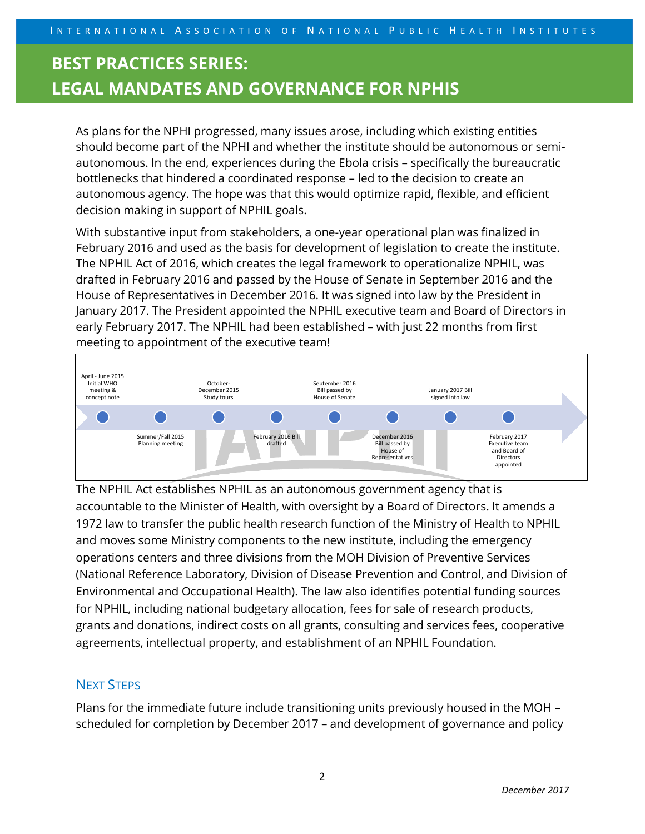# **BEST PRACTICES SERIES: LEGAL MANDATES AND GOVERNANCE FOR NPHIS**

As plans for the NPHI progressed, many issues arose, including which existing entities should become part of the NPHI and whether the institute should be autonomous or semiautonomous. In the end, experiences during the Ebola crisis – specifically the bureaucratic bottlenecks that hindered a coordinated response – led to the decision to create an autonomous agency. The hope was that this would optimize rapid, flexible, and efficient decision making in support of NPHIL goals.

With substantive input from stakeholders, a one-year operational plan was finalized in February 2016 and used as the basis for development of legislation to create the institute. The NPHIL Act of 2016, which creates the legal framework to operationalize NPHIL, was drafted in February 2016 and passed by the House of Senate in September 2016 and the House of Representatives in December 2016. It was signed into law by the President in January 2017. The President appointed the NPHIL executive team and Board of Directors in early February 2017. The NPHIL had been established – with just 22 months from first meeting to appointment of the executive team!



The NPHIL Act establishes NPHIL as an autonomous government agency that is accountable to the Minister of Health, with oversight by a Board of Directors. It amends a 1972 law to transfer the public health research function of the Ministry of Health to NPHIL and moves some Ministry components to the new institute, including the emergency operations centers and three divisions from the MOH Division of Preventive Services (National Reference Laboratory, Division of Disease Prevention and Control, and Division of Environmental and Occupational Health). The law also identifies potential funding sources for NPHIL, including national budgetary allocation, fees for sale of research products, grants and donations, indirect costs on all grants, consulting and services fees, cooperative agreements, intellectual property, and establishment of an NPHIL Foundation.

### NEXT STEPS

Plans for the immediate future include transitioning units previously housed in the MOH – scheduled for completion by December 2017 – and development of governance and policy